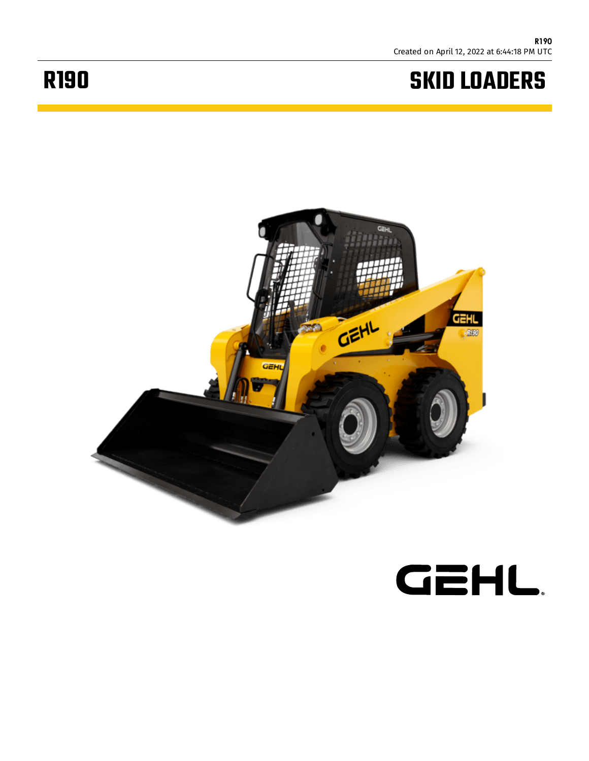## **SKID LOADERS**

## **R190**



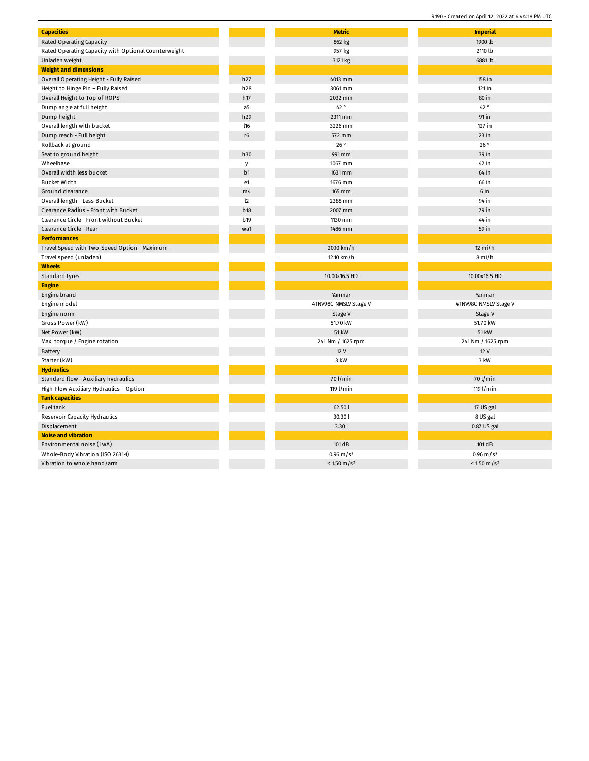| <b>Capacities</b>                                    |                 | <b>Metric</b>          | <b>Imperial</b>        |
|------------------------------------------------------|-----------------|------------------------|------------------------|
| <b>Rated Operating Capacity</b>                      |                 | 862 kg                 | 1900 lb                |
| Rated Operating Capacity with Optional Counterweight |                 | 957 kg                 | 2110 lb                |
| Unladen weight                                       |                 | 3121 kg                | 6881 lb                |
| <b>Weight and dimensions</b>                         |                 |                        |                        |
| Overall Operating Height - Fully Raised              | h27             | 4013 mm                | 158 in                 |
| Height to Hinge Pin - Fully Raised                   | h28             | 3061 mm                | $121$ in               |
| Overall Height to Top of ROPS                        | h17             | 2032 mm                | 80 in                  |
| Dump angle at full height                            | a5              | 42 °                   | 42°                    |
| Dump height                                          | h29             | 2311 mm                | 91 in                  |
| Overall length with bucket                           | <b>I16</b>      | 3226 mm                | 127 in                 |
| Dump reach - Full height                             | $r6$            | 572 mm                 | $23$ in                |
| Rollback at ground                                   |                 | 26°                    | 26°                    |
| Seat to ground height                                | h30             | 991 mm                 | 39 in                  |
| Wheelbase                                            | y               | 1067 mm                | 42 in                  |
| Overall width less bucket                            | b <sub>1</sub>  | 1631 mm                | 64 in                  |
| <b>Bucket Width</b>                                  | e1              | 1676 mm                | 66 in                  |
| Ground clearance                                     | m <sub>4</sub>  | 165 mm                 | 6 in                   |
| Overall length - Less Bucket                         | $\mathsf{I}2$   | 2388 mm                | 94 in                  |
| Clearance Radius - Front with Bucket                 | <b>b18</b>      | 2007 mm                | 79 in                  |
| Clearance Circle - Front without Bucket              | b <sub>19</sub> | 1130 mm                | 44 in                  |
| Clearance Circle - Rear                              | wa1             | 1486 mm                | 59 in                  |
| <b>Performances</b>                                  |                 |                        |                        |
| Travel Speed with Two-Speed Option - Maximum         |                 | 20.10 km/h             | $12 \text{ mi/h}$      |
| Travel speed (unladen)                               |                 | 12.10 km/h             | 8 mi/h                 |
| <b>Wheels</b>                                        |                 |                        |                        |
| Standard tyres                                       |                 | 10.00x16.5 HD          | 10.00x16.5 HD          |
| <b>Engine</b>                                        |                 |                        |                        |
| Engine brand                                         |                 | Yanmar                 | Yanmar                 |
| Engine model                                         |                 | 4TNV98C-NMSLV Stage V  | 4TNV98C-NMSLV Stage V  |
| Engine norm                                          |                 | Stage V                | Stage V                |
| Gross Power (kW)                                     |                 | 51.70 kW               | 51.70 kW               |
| Net Power (kW)                                       |                 | 51 kW                  | <b>51 kW</b>           |
| Max. torque / Engine rotation                        |                 | 241 Nm / 1625 rpm      | 241 Nm / 1625 rpm      |
| Battery                                              |                 | 12V                    | 12 V                   |
| Starter (kW)                                         |                 | 3 kW                   | 3 kW                   |
| <b>Hydraulics</b>                                    |                 |                        |                        |
| Standard flow - Auxiliary hydraulics                 |                 | 70 l/min               | 70 l/min               |
| High-Flow Auxiliary Hydraulics - Option              |                 | 119 l/min              | 119 l/min              |
| <b>Tank capacities</b>                               |                 |                        |                        |
| Fuel tank                                            |                 | 62.50l                 | 17 US gal              |
| Reservoir Capacity Hydraulics                        |                 | 30.30l                 | 8 US gal               |
| Displacement                                         |                 | 3.30l                  | 0.87 US gal            |
| <b>Noise and vibration</b>                           |                 |                        |                        |
| Environmental noise (LwA)                            |                 | 101 dB                 | 101 dB                 |
| Whole-Body Vibration (ISO 2631-1)                    |                 | $0.96 \text{ m/s}^2$   | $0.96 \text{ m/s}^2$   |
| Vibration to whole hand/arm                          |                 | $< 1.50 \text{ m/s}^2$ | $< 1.50 \text{ m/s}^2$ |
|                                                      |                 |                        |                        |

R190 - Created on April 12, 2022 at 6:44:18 PM UTC